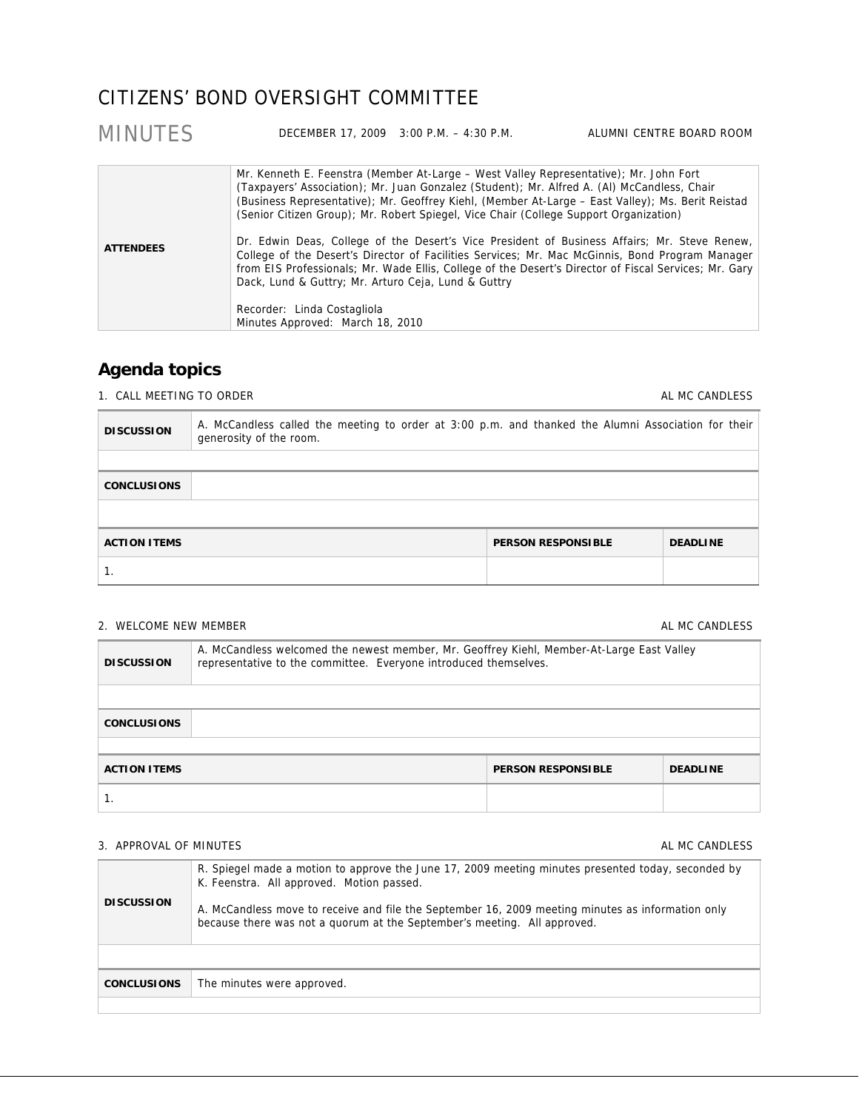# CITIZENS' BOND OVERSIGHT COMMITTEE

| <b>MINUTES</b>   |                                                                                                                                                                                                                 | DECEMBER 17, 2009 3:00 P.M. - 4:30 P.M. | ALUMNI CENTRE BOARD ROOM                                                                                                                                                                                                                                                                                                                                                                                                                                                                                                                                                                              |
|------------------|-----------------------------------------------------------------------------------------------------------------------------------------------------------------------------------------------------------------|-----------------------------------------|-------------------------------------------------------------------------------------------------------------------------------------------------------------------------------------------------------------------------------------------------------------------------------------------------------------------------------------------------------------------------------------------------------------------------------------------------------------------------------------------------------------------------------------------------------------------------------------------------------|
| <b>ATTENDEES</b> | (Senior Citizen Group); Mr. Robert Spiegel, Vice Chair (College Support Organization)<br>Dack, Lund & Guttry; Mr. Arturo Ceja, Lund & Guttry<br>Recorder: Linda Costagliola<br>Minutes Approved: March 18, 2010 |                                         | Mr. Kenneth E. Feenstra (Member At-Large – West Valley Representative); Mr. John Fort<br>(Taxpayers' Association); Mr. Juan Gonzalez (Student); Mr. Alfred A. (Al) McCandless, Chair<br>(Business Representative); Mr. Geoffrey Kiehl, (Member At-Large – East Valley); Ms. Berit Reistad<br>Dr. Edwin Deas, College of the Desert's Vice President of Business Affairs; Mr. Steve Renew,<br>College of the Desert's Director of Facilities Services; Mr. Mac McGinnis, Bond Program Manager<br>from EIS Professionals; Mr. Wade Ellis, College of the Desert's Director of Fiscal Services; Mr. Gary |

# **Agenda topics**

1. CALL MEETING TO ORDER AL MC CANDLESS

| <b>DISCUSSION</b>   | A. McCandless called the meeting to order at 3:00 p.m. and thanked the Alumni Association for their<br>generosity of the room. |                           |                 |
|---------------------|--------------------------------------------------------------------------------------------------------------------------------|---------------------------|-----------------|
|                     |                                                                                                                                |                           |                 |
| <b>CONCLUSIONS</b>  |                                                                                                                                |                           |                 |
|                     |                                                                                                                                |                           |                 |
| <b>ACTION ITEMS</b> |                                                                                                                                | <b>PERSON RESPONSIBLE</b> | <b>DEADLINE</b> |
|                     |                                                                                                                                |                           |                 |

## 2. WELCOME NEW MEMBER AL MC CANDLESS

| <b>DISCUSSION</b>                                                   | A. McCandless welcomed the newest member, Mr. Geoffrey Kiehl, Member-At-Large East Valley<br>representative to the committee. Everyone introduced themselves. |  |  |
|---------------------------------------------------------------------|---------------------------------------------------------------------------------------------------------------------------------------------------------------|--|--|
|                                                                     |                                                                                                                                                               |  |  |
| <b>CONCLUSIONS</b>                                                  |                                                                                                                                                               |  |  |
|                                                                     |                                                                                                                                                               |  |  |
| <b>ACTION ITEMS</b><br><b>PERSON RESPONSIBLE</b><br><b>DEADLINE</b> |                                                                                                                                                               |  |  |
|                                                                     |                                                                                                                                                               |  |  |

## 3. APPROVAL OF MINUTES AL MC CANDESS AL MC CANDLESS

| <b>DISCUSSION</b>  | R. Spiegel made a motion to approve the June 17, 2009 meeting minutes presented today, seconded by<br>K. Feenstra. All approved. Motion passed.<br>A. McCandless move to receive and file the September 16, 2009 meeting minutes as information only<br>because there was not a quorum at the September's meeting. All approved. |
|--------------------|----------------------------------------------------------------------------------------------------------------------------------------------------------------------------------------------------------------------------------------------------------------------------------------------------------------------------------|
|                    |                                                                                                                                                                                                                                                                                                                                  |
| <b>CONCLUSIONS</b> | The minutes were approved.                                                                                                                                                                                                                                                                                                       |
|                    |                                                                                                                                                                                                                                                                                                                                  |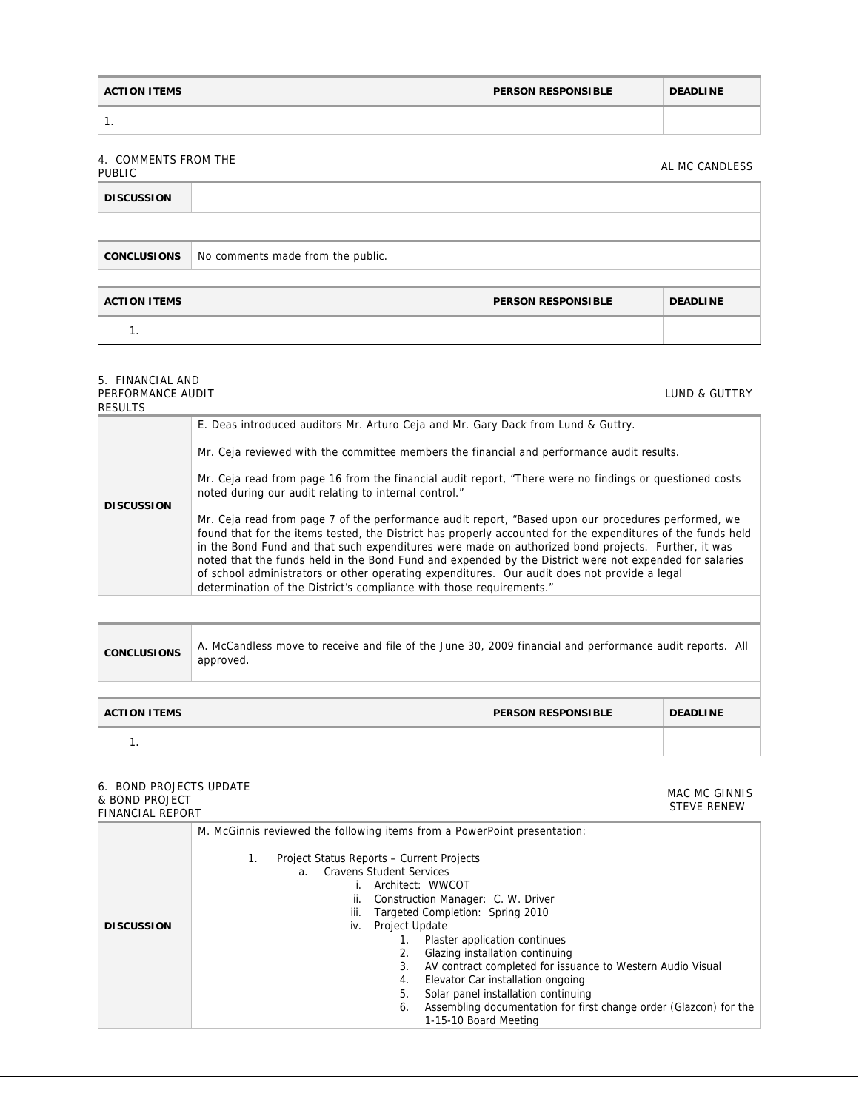| <b>ACTION ITEMS</b> | <b>PERSON RESPONSIBLE</b> | <b>DEADLINE</b> |
|---------------------|---------------------------|-----------------|
| . .                 |                           |                 |

**DISCUSSION** 

# 4. COMMENTS FROM THE PUBLIC AL MC CANDLESS **CONCLUSIONS** No comments made from the public.

| <b>ACTION ITEMS</b> | <b>PERSON RESPONSIBLE</b> | <b>DEADLINE</b> |
|---------------------|---------------------------|-----------------|
|                     |                           |                 |

### 5. FINANCIAL AND PERFORMANCE AUDIT

| PERFORMANCE AUDIT<br>RESULTS |                                                                                                                                                                                                                                                                                                                                                                                                                                                                                                                                                                                                                                                                                                                                                                                                                                                                                                                                                                  |  | LUND & GUTTRY |
|------------------------------|------------------------------------------------------------------------------------------------------------------------------------------------------------------------------------------------------------------------------------------------------------------------------------------------------------------------------------------------------------------------------------------------------------------------------------------------------------------------------------------------------------------------------------------------------------------------------------------------------------------------------------------------------------------------------------------------------------------------------------------------------------------------------------------------------------------------------------------------------------------------------------------------------------------------------------------------------------------|--|---------------|
| <b>DISCUSSION</b>            | E. Deas introduced auditors Mr. Arturo Ceja and Mr. Gary Dack from Lund & Guttry.<br>Mr. Ceja reviewed with the committee members the financial and performance audit results.<br>Mr. Ceja read from page 16 from the financial audit report, "There were no findings or questioned costs<br>noted during our audit relating to internal control."<br>Mr. Ceja read from page 7 of the performance audit report, "Based upon our procedures performed, we<br>found that for the items tested, the District has properly accounted for the expenditures of the funds held<br>in the Bond Fund and that such expenditures were made on authorized bond projects. Further, it was<br>noted that the funds held in the Bond Fund and expended by the District were not expended for salaries<br>of school administrators or other operating expenditures. Our audit does not provide a legal<br>determination of the District's compliance with those requirements." |  |               |
|                              |                                                                                                                                                                                                                                                                                                                                                                                                                                                                                                                                                                                                                                                                                                                                                                                                                                                                                                                                                                  |  |               |
| <b>CONCLUSIONS</b>           | A. McCandless move to receive and file of the June 30, 2009 financial and performance audit reports. All<br>approved.                                                                                                                                                                                                                                                                                                                                                                                                                                                                                                                                                                                                                                                                                                                                                                                                                                            |  |               |
|                              |                                                                                                                                                                                                                                                                                                                                                                                                                                                                                                                                                                                                                                                                                                                                                                                                                                                                                                                                                                  |  |               |
| <b>ACTION ITEMS</b>          | <b>PERSON RESPONSIBLE</b><br><b>DEADLINE</b>                                                                                                                                                                                                                                                                                                                                                                                                                                                                                                                                                                                                                                                                                                                                                                                                                                                                                                                     |  |               |
| $\mathbf{1}$ .               |                                                                                                                                                                                                                                                                                                                                                                                                                                                                                                                                                                                                                                                                                                                                                                                                                                                                                                                                                                  |  |               |
|                              |                                                                                                                                                                                                                                                                                                                                                                                                                                                                                                                                                                                                                                                                                                                                                                                                                                                                                                                                                                  |  |               |

### 6. BOND PROJECTS UPDATE & BOND PROJECT

## FINANCIAL REPORT

MAC MC GINNIS STEVE RENEW

| <u>LUMON SIALINEI VINI</u> |                                                                                                                                                                                                                                                                                                     |
|----------------------------|-----------------------------------------------------------------------------------------------------------------------------------------------------------------------------------------------------------------------------------------------------------------------------------------------------|
|                            | M. McGinnis reviewed the following items from a PowerPoint presentation:                                                                                                                                                                                                                            |
| <b>DISCUSSION</b>          | Project Status Reports – Current Projects<br>1.<br><b>Cravens Student Services</b><br>$a_{-}$<br>Architect: WWCOT<br>Construction Manager: C. W. Driver<br>н.<br>Targeted Completion: Spring 2010<br>iii.<br>iv. Project Update<br>Plaster application continues<br>Glazing installation continuing |
|                            | AV contract completed for issuance to Western Audio Visual<br>3.<br>Elevator Car installation ongoing<br>4.                                                                                                                                                                                         |
|                            | Solar panel installation continuing<br>5.                                                                                                                                                                                                                                                           |
|                            |                                                                                                                                                                                                                                                                                                     |
|                            | Assembling documentation for first change order (Glazcon) for the<br>6.                                                                                                                                                                                                                             |
|                            | 1-15-10 Board Meeting                                                                                                                                                                                                                                                                               |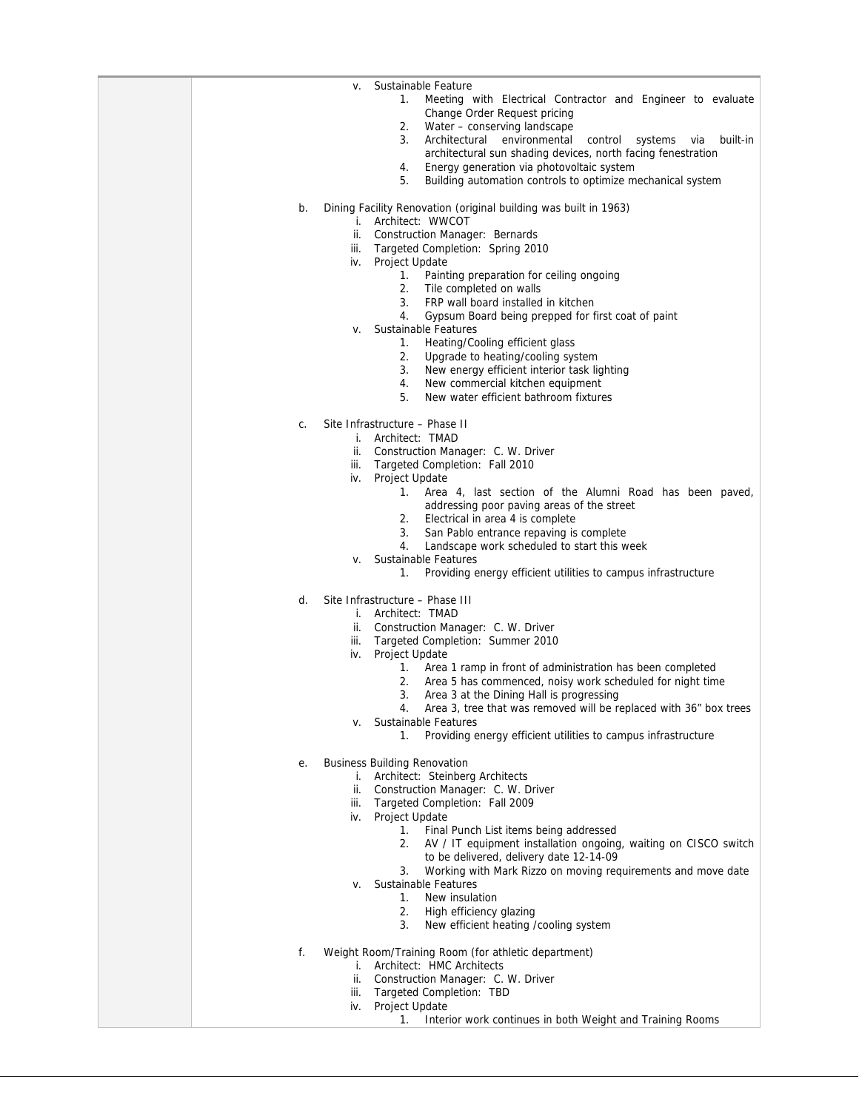| Sustainable Feature<br>۷.                                                                                           |
|---------------------------------------------------------------------------------------------------------------------|
| 1.<br>Meeting with Electrical Contractor and Engineer to evaluate                                                   |
| Change Order Request pricing<br>2.<br>Water - conserving landscape                                                  |
| 3.<br>Architectural environmental<br>control<br>systems<br>via<br>built-in                                          |
| architectural sun shading devices, north facing fenestration                                                        |
| Energy generation via photovoltaic system<br>4.                                                                     |
| 5.<br>Building automation controls to optimize mechanical system                                                    |
| b.<br>Dining Facility Renovation (original building was built in 1963)                                              |
| i. Architect: WWCOT                                                                                                 |
| ii.<br><b>Construction Manager: Bernards</b>                                                                        |
| Targeted Completion: Spring 2010<br>iii.                                                                            |
| iv. Project Update<br>Painting preparation for ceiling ongoing<br>1.                                                |
| 2.<br>Tile completed on walls                                                                                       |
| FRP wall board installed in kitchen<br>3.                                                                           |
| 4.<br>Gypsum Board being prepped for first coat of paint                                                            |
| Sustainable Features<br>۷.                                                                                          |
| Heating/Cooling efficient glass<br>1.<br>2.<br>Upgrade to heating/cooling system                                    |
| 3.<br>New energy efficient interior task lighting                                                                   |
| 4.<br>New commercial kitchen equipment                                                                              |
| 5.<br>New water efficient bathroom fixtures                                                                         |
| Site Infrastructure - Phase II<br>C.                                                                                |
| i. Architect: TMAD                                                                                                  |
| ii. Construction Manager: C. W. Driver                                                                              |
| Targeted Completion: Fall 2010<br>iii.                                                                              |
| Project Update<br>iv.                                                                                               |
| 1. Area 4, last section of the Alumni Road has been paved,<br>addressing poor paving areas of the street            |
| Electrical in area 4 is complete<br>2.                                                                              |
| 3.<br>San Pablo entrance repaving is complete                                                                       |
| 4.<br>Landscape work scheduled to start this week                                                                   |
| Sustainable Features<br>v.<br>1.<br>Providing energy efficient utilities to campus infrastructure                   |
|                                                                                                                     |
| Site Infrastructure - Phase III<br>d.                                                                               |
| i. Architect: TMAD                                                                                                  |
| ii. Construction Manager: C. W. Driver<br>Targeted Completion: Summer 2010<br>iii.                                  |
| Project Update<br>iv.                                                                                               |
| Area 1 ramp in front of administration has been completed<br>1.                                                     |
| Area 5 has commenced, noisy work scheduled for night time<br>2.                                                     |
| Area 3 at the Dining Hall is progressing<br>3.<br>Area 3, tree that was removed will be replaced with 36" box trees |
| 4.<br>Sustainable Features<br>v.                                                                                    |
| 1.<br>Providing energy efficient utilities to campus infrastructure                                                 |
|                                                                                                                     |
| <b>Business Building Renovation</b><br>е.<br>i. Architect: Steinberg Architects                                     |
| ii. Construction Manager: C. W. Driver                                                                              |
| iii. Targeted Completion: Fall 2009                                                                                 |
| iv. Project Update                                                                                                  |
| Final Punch List items being addressed<br>1.<br>2.                                                                  |
| AV / IT equipment installation ongoing, waiting on CISCO switch<br>to be delivered, delivery date 12-14-09          |
| Working with Mark Rizzo on moving requirements and move date<br>3.                                                  |
| Sustainable Features<br>۷.                                                                                          |
| New insulation<br>1.                                                                                                |
| 2.<br>High efficiency glazing<br>New efficient heating /cooling system<br>3.                                        |
|                                                                                                                     |
| Weight Room/Training Room (for athletic department)<br>f.                                                           |
| i. Architect: HMC Architects                                                                                        |
| ii. Construction Manager: C. W. Driver<br>Targeted Completion: TBD<br>iii.                                          |
| Project Update<br>iv.                                                                                               |
| 1.<br>Interior work continues in both Weight and Training Rooms                                                     |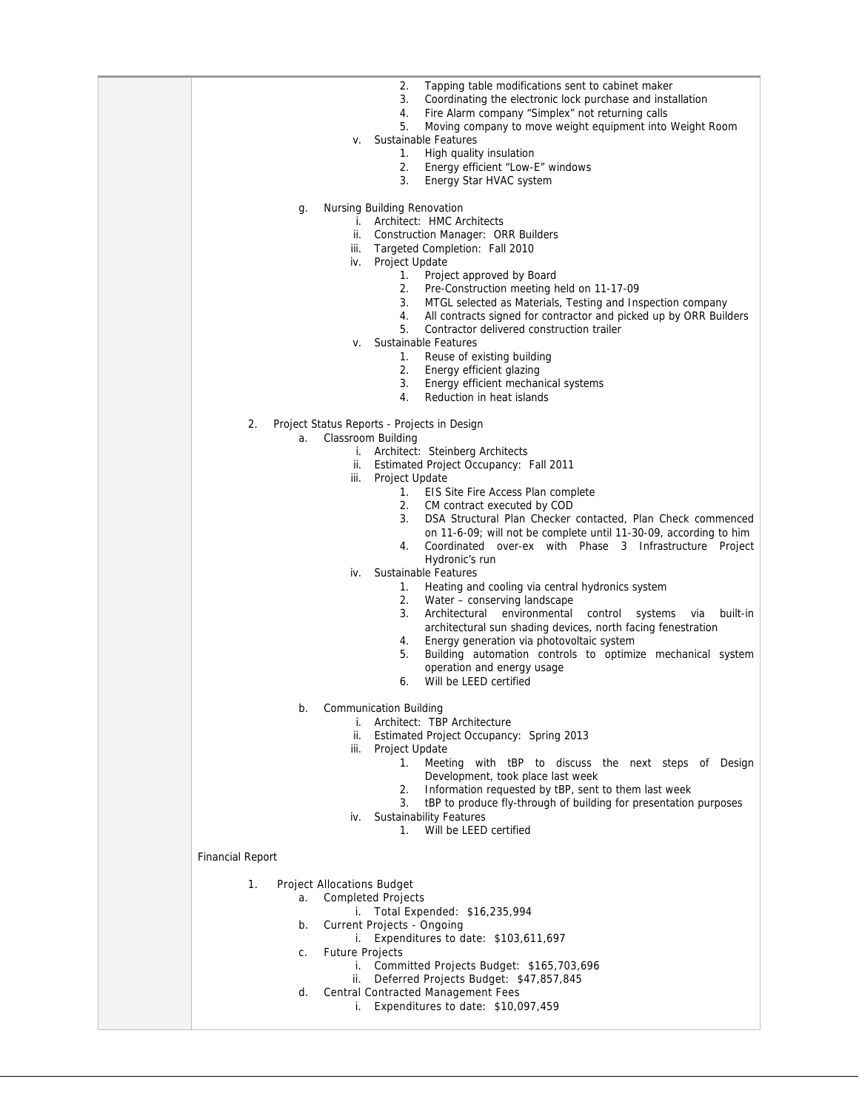| 2.<br>Tapping table modifications sent to cabinet maker<br>3.<br>Coordinating the electronic lock purchase and installation<br>Fire Alarm company "Simplex" not returning calls<br>4.<br>5.<br>Moving company to move weight equipment into Weight Room<br>Sustainable Features<br>v.<br>High quality insulation<br>1.<br>2.<br>Energy efficient "Low-E" windows<br>3.<br>Energy Star HVAC system<br><b>Nursing Building Renovation</b><br>g.<br>i. Architect: HMC Architects<br>ii. Construction Manager: ORR Builders<br>iii. Targeted Completion: Fall 2010<br>iv. Project Update<br>Project approved by Board<br>1.<br>Pre-Construction meeting held on 11-17-09<br>2.<br>MTGL selected as Materials, Testing and Inspection company<br>3.<br>All contracts signed for contractor and picked up by ORR Builders<br>4.<br>5.<br>Contractor delivered construction trailer<br>Sustainable Features<br>v.<br>1. Reuse of existing building<br>2.<br>Energy efficient glazing<br>3.<br>Energy efficient mechanical systems<br>Reduction in heat islands<br>4. |
|---------------------------------------------------------------------------------------------------------------------------------------------------------------------------------------------------------------------------------------------------------------------------------------------------------------------------------------------------------------------------------------------------------------------------------------------------------------------------------------------------------------------------------------------------------------------------------------------------------------------------------------------------------------------------------------------------------------------------------------------------------------------------------------------------------------------------------------------------------------------------------------------------------------------------------------------------------------------------------------------------------------------------------------------------------------|
| Project Status Reports - Projects in Design<br>2.<br>Classroom Building<br>a.<br>i. Architect: Steinberg Architects<br>ii. Estimated Project Occupancy: Fall 2011<br>iii. Project Update<br>1. EIS Site Fire Access Plan complete<br>CM contract executed by COD<br>2.<br>DSA Structural Plan Checker contacted, Plan Check commenced<br>3.<br>on 11-6-09; will not be complete until 11-30-09, according to him<br>Coordinated over-ex with Phase 3 Infrastructure Project<br>4.<br>Hydronic's run<br>Sustainable Features<br>iv.<br>Heating and cooling via central hydronics system<br>1.<br>Water - conserving landscape<br>2.<br>3.<br>Architectural environmental<br>control<br>built-in<br>systems<br>via<br>architectural sun shading devices, north facing fenestration<br>Energy generation via photovoltaic system<br>4.<br>5.<br>Building automation controls to optimize mechanical system<br>operation and energy usage<br>Will be LEED certified<br>6.                                                                                         |
| b.<br><b>Communication Building</b><br>i. Architect: TBP Architecture<br>ii.<br>Estimated Project Occupancy: Spring 2013<br>Project Update<br>iii.<br>Meeting with tBP to discuss the next steps of Design<br>1.<br>Development, took place last week<br>Information requested by tBP, sent to them last week<br>2.<br>tBP to produce fly-through of building for presentation purposes<br>3.<br><b>Sustainability Features</b><br>iv.<br>Will be LEED certified<br>1.<br><b>Financial Report</b>                                                                                                                                                                                                                                                                                                                                                                                                                                                                                                                                                             |
| 1.<br><b>Project Allocations Budget</b><br><b>Completed Projects</b><br>a.<br>i. Total Expended: \$16,235,994<br>Current Projects - Ongoing<br>b.<br>i. Expenditures to date: \$103,611,697<br><b>Future Projects</b><br>C.<br>i. Committed Projects Budget: \$165,703,696<br>ii. Deferred Projects Budget: \$47,857,845<br>Central Contracted Management Fees<br>d.<br>Expenditures to date: \$10,097,459<br>i.                                                                                                                                                                                                                                                                                                                                                                                                                                                                                                                                                                                                                                              |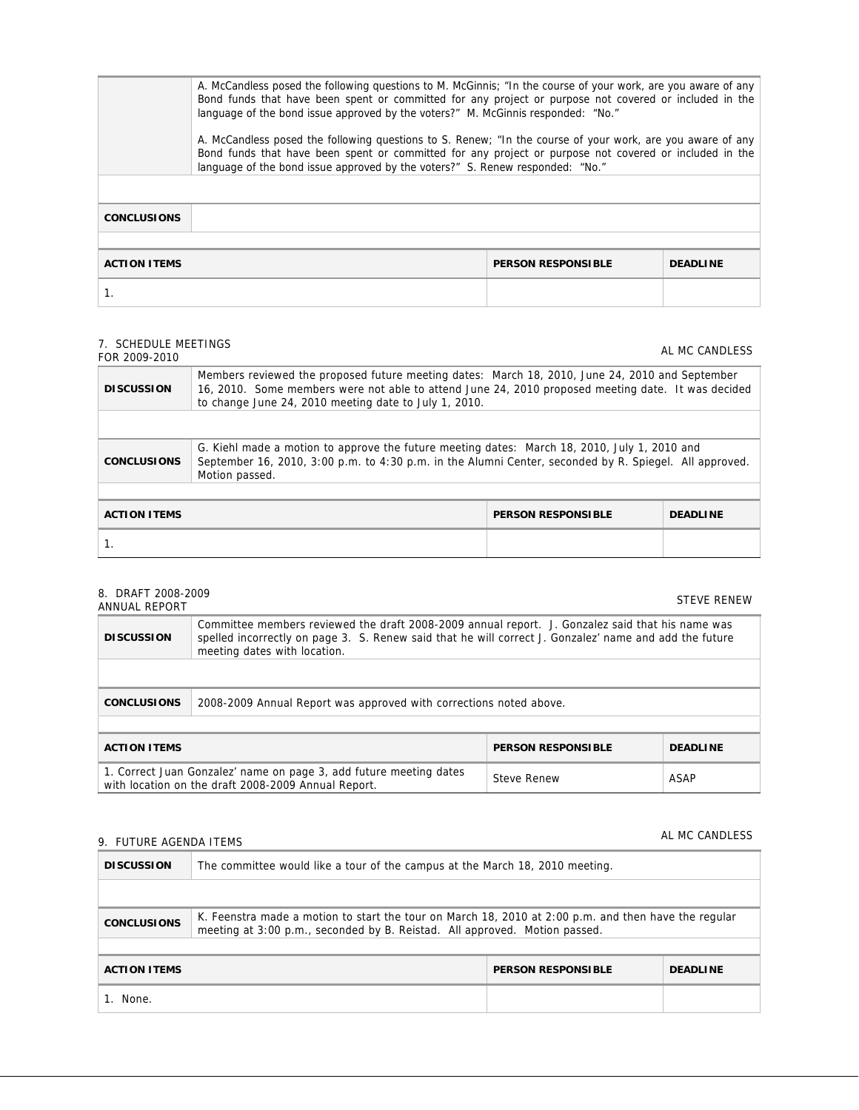| A. McCandless posed the following questions to M. McGinnis; "In the course of your work, are you aware of any<br>Bond funds that have been spent or committed for any project or purpose not covered or included in the<br>language of the bond issue approved by the voters?" M. McGinnis responded: "No."<br>A. McCandless posed the following questions to S. Renew; "In the course of your work, are you aware of any<br>Bond funds that have been spent or committed for any project or purpose not covered or included in the<br>language of the bond issue approved by the voters?" S. Renew responded: "No." |  |  |  |  |
|----------------------------------------------------------------------------------------------------------------------------------------------------------------------------------------------------------------------------------------------------------------------------------------------------------------------------------------------------------------------------------------------------------------------------------------------------------------------------------------------------------------------------------------------------------------------------------------------------------------------|--|--|--|--|
| <b>CONCLUSIONS</b>                                                                                                                                                                                                                                                                                                                                                                                                                                                                                                                                                                                                   |  |  |  |  |
| <b>ACTION ITEMS</b><br><b>PERSON RESPONSIBLE</b><br><b>DEADLINE</b>                                                                                                                                                                                                                                                                                                                                                                                                                                                                                                                                                  |  |  |  |  |
|                                                                                                                                                                                                                                                                                                                                                                                                                                                                                                                                                                                                                      |  |  |  |  |

## 7. SCHEDULE MEETINGS

| $\overline{1}$ . JUILDULL IILLIINUJ<br>FOR 2009-2010 |                                                                                                                                                                                                                                                                |                           | AL MC CANDLESS  |
|------------------------------------------------------|----------------------------------------------------------------------------------------------------------------------------------------------------------------------------------------------------------------------------------------------------------------|---------------------------|-----------------|
| <b>DISCUSSION</b>                                    | Members reviewed the proposed future meeting dates: March 18, 2010, June 24, 2010 and September<br>16, 2010. Some members were not able to attend June 24, 2010 proposed meeting date. It was decided<br>to change June 24, 2010 meeting date to July 1, 2010. |                           |                 |
|                                                      |                                                                                                                                                                                                                                                                |                           |                 |
| <b>CONCLUSIONS</b>                                   | G. Kiehl made a motion to approve the future meeting dates: March 18, 2010, July 1, 2010 and<br>September 16, 2010, 3:00 p.m. to 4:30 p.m. in the Alumni Center, seconded by R. Spiegel. All approved.<br>Motion passed.                                       |                           |                 |
|                                                      |                                                                                                                                                                                                                                                                |                           |                 |
| <b>ACTION ITEMS</b>                                  |                                                                                                                                                                                                                                                                | <b>PERSON RESPONSIBLE</b> | <b>DEADLINE</b> |
|                                                      |                                                                                                                                                                                                                                                                |                           |                 |

| 8. DRAFT 2008-2009<br>ANNUAL REPORT                                                                                       |                                                                                                                                                                                                                                            |                           | <b>STEVE RENEW</b> |  |  |  |
|---------------------------------------------------------------------------------------------------------------------------|--------------------------------------------------------------------------------------------------------------------------------------------------------------------------------------------------------------------------------------------|---------------------------|--------------------|--|--|--|
| <b>DISCUSSION</b>                                                                                                         | Committee members reviewed the draft 2008-2009 annual report. J. Gonzalez said that his name was<br>spelled incorrectly on page 3. S. Renew said that he will correct J. Gonzalez' name and add the future<br>meeting dates with location. |                           |                    |  |  |  |
|                                                                                                                           |                                                                                                                                                                                                                                            |                           |                    |  |  |  |
| <b>CONCLUSIONS</b>                                                                                                        | 2008-2009 Annual Report was approved with corrections noted above.                                                                                                                                                                         |                           |                    |  |  |  |
|                                                                                                                           |                                                                                                                                                                                                                                            |                           |                    |  |  |  |
| <b>ACTION ITEMS</b>                                                                                                       |                                                                                                                                                                                                                                            | <b>PERSON RESPONSIBLE</b> | <b>DEADLINE</b>    |  |  |  |
| 1. Correct Juan Gonzalez' name on page 3, add future meeting dates<br>with location on the draft 2008-2009 Annual Report. |                                                                                                                                                                                                                                            | <b>Steve Renew</b>        | ASAP               |  |  |  |

# 9. FUTURE AGENDA ITEMS **ALL MC CANDLESS** ALMC CANDLESS

| <b>DISCUSSION</b>   | The committee would like a tour of the campus at the March 18, 2010 meeting.                                                                                                       |                           |                 |  |  |  |
|---------------------|------------------------------------------------------------------------------------------------------------------------------------------------------------------------------------|---------------------------|-----------------|--|--|--|
|                     |                                                                                                                                                                                    |                           |                 |  |  |  |
| <b>CONCLUSIONS</b>  | K. Feenstra made a motion to start the tour on March 18, 2010 at 2:00 p.m. and then have the regular<br>meeting at 3:00 p.m., seconded by B. Reistad. All approved. Motion passed. |                           |                 |  |  |  |
|                     |                                                                                                                                                                                    |                           |                 |  |  |  |
| <b>ACTION ITEMS</b> |                                                                                                                                                                                    | <b>PERSON RESPONSIBLE</b> | <b>DEADLINE</b> |  |  |  |
| None.               |                                                                                                                                                                                    |                           |                 |  |  |  |